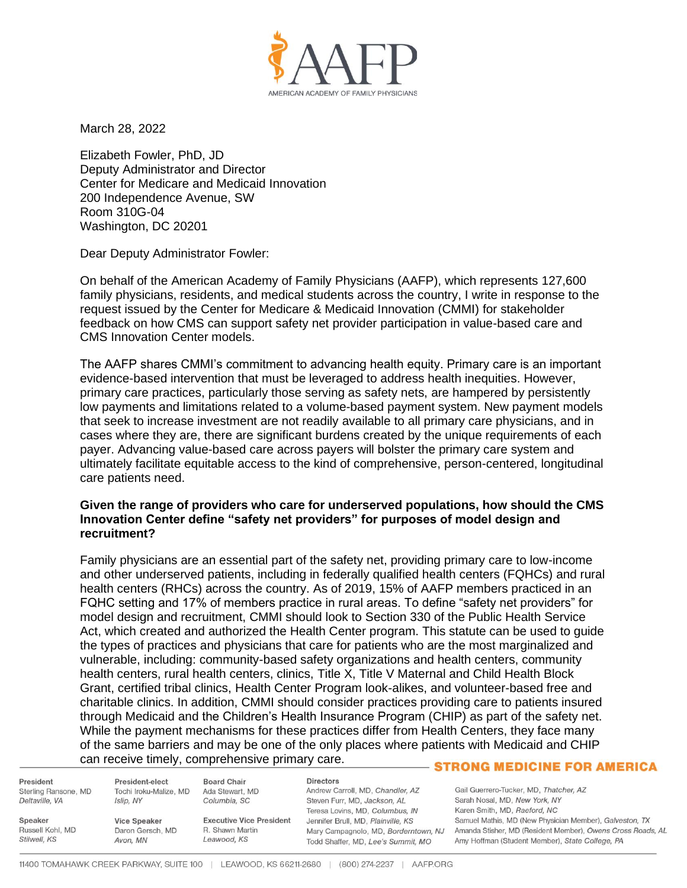

March 28, 2022

Elizabeth Fowler, PhD, JD Deputy Administrator and Director Center for Medicare and Medicaid Innovation 200 Independence Avenue, SW Room 310G-04 Washington, DC 20201

Dear Deputy Administrator Fowler:

On behalf of the American Academy of Family Physicians (AAFP), which represents 127,600 family physicians, residents, and medical students across the country, I write in response to the request issued by the Center for Medicare & Medicaid Innovation (CMMI) for stakeholder feedback on how CMS can support safety net provider participation in value-based care and CMS Innovation Center models.

The AAFP shares CMMI's commitment to advancing health equity. Primary care is an important evidence-based intervention that must be leveraged to address health inequities. However, primary care practices, particularly those serving as safety nets, are hampered by persistently low payments and limitations related to a volume-based payment system. New payment models that seek to increase investment are not readily available to all primary care physicians, and in cases where they are, there are significant burdens created by the unique requirements of each payer. Advancing value-based care across payers will bolster the primary care system and ultimately facilitate equitable access to the kind of comprehensive, person-centered, longitudinal care patients need.

## **Given the range of providers who care for underserved populations, how should the CMS Innovation Center define "safety net providers" for purposes of model design and recruitment?**

Family physicians are an essential part of the safety net, providing primary care to low-income and other underserved patients, including in federally qualified health centers (FQHCs) and rural health centers (RHCs) across the country. As of 2019, 15% of AAFP members practiced in an FQHC setting and 17% of members practice in rural areas. To define "safety net providers" for model design and recruitment, CMMI should look to Section 330 of the Public Health Service Act, which created and authorized the Health Center program. This statute can be used to guide the types of practices and physicians that care for patients who are the most marginalized and vulnerable, including: community-based safety organizations and health centers, community health centers, rural health centers, clinics, Title X, Title V Maternal and Child Health Block Grant, certified tribal clinics, Health Center Program look-alikes, and volunteer-based free and charitable clinics. In addition, CMMI should consider practices providing care to patients insured through Medicaid and the Children's Health Insurance Program (CHIP) as part of the safety net. While the payment mechanisms for these practices differ from Health Centers, they face many of the same barriers and may be one of the only places where patients with Medicaid and CHIP can receive timely, comprehensive primary care.

President Sterling Ransone, MD Deltaville, VA

President-elect **Board Chair** Tochi Iroku-Malize, MD Islip, NY

Ada Stewart, MD Columbia, SC

**Directors** 

Andrew Carroll, MD, Chandler, AZ Steven Furr, MD, Jackson, AL Teresa Lovins, MD, Columbus, IN Executive Vice President Jennifer Brull, MD, Plainville, KS Todd Shaffer, MD, Lee's Summit, MO

## - STRONG MEDICINE FOR AMERICA

Gail Guerrero-Tucker, MD, Thatcher, AZ Sarah Nosal, MD, New York, NY Karen Smith, MD, Raeford, NC Samuel Mathis, MD (New Physician Member), Galveston, TX Mary Campagnolo, MD, Borderntown, NJ Amanda Stisher, MD (Resident Member), Owens Cross Roads, AL Amy Hoffman (Student Member), State College, PA

Speaker Russell Kohl, MD Stilwell, KS

R. Shawn Martin Leawood, KS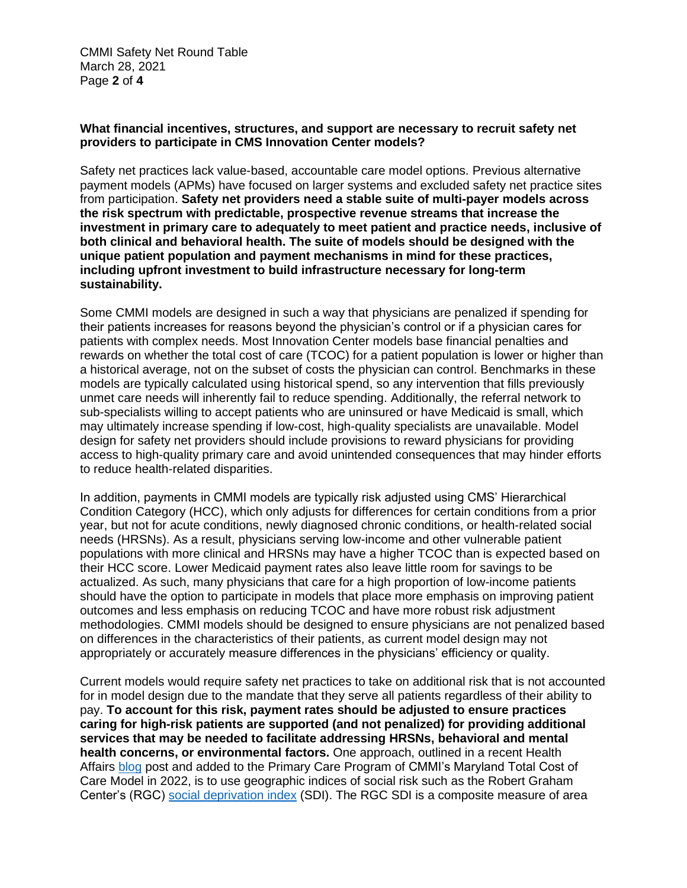CMMI Safety Net Round Table March 28, 2021 Page **2** of **4**

## **What financial incentives, structures, and support are necessary to recruit safety net providers to participate in CMS Innovation Center models?**

Safety net practices lack value-based, accountable care model options. Previous alternative payment models (APMs) have focused on larger systems and excluded safety net practice sites from participation. **Safety net providers need a stable suite of multi-payer models across the risk spectrum with predictable, prospective revenue streams that increase the investment in primary care to adequately to meet patient and practice needs, inclusive of both clinical and behavioral health. The suite of models should be designed with the unique patient population and payment mechanisms in mind for these practices, including upfront investment to build infrastructure necessary for long-term sustainability.**

Some CMMI models are designed in such a way that physicians are penalized if spending for their patients increases for reasons beyond the physician's control or if a physician cares for patients with complex needs. Most Innovation Center models base financial penalties and rewards on whether the total cost of care (TCOC) for a patient population is lower or higher than a historical average, not on the subset of costs the physician can control. Benchmarks in these models are typically calculated using historical spend, so any intervention that fills previously unmet care needs will inherently fail to reduce spending. Additionally, the referral network to sub-specialists willing to accept patients who are uninsured or have Medicaid is small, which may ultimately increase spending if low-cost, high-quality specialists are unavailable. Model design for safety net providers should include provisions to reward physicians for providing access to high-quality primary care and avoid unintended consequences that may hinder efforts to reduce health-related disparities.

In addition, payments in CMMI models are typically risk adjusted using CMS' Hierarchical Condition Category (HCC), which only adjusts for differences for certain conditions from a prior year, but not for acute conditions, newly diagnosed chronic conditions, or health-related social needs (HRSNs). As a result, physicians serving low-income and other vulnerable patient populations with more clinical and HRSNs may have a higher TCOC than is expected based on their HCC score. Lower Medicaid payment rates also leave little room for savings to be actualized. As such, many physicians that care for a high proportion of low-income patients should have the option to participate in models that place more emphasis on improving patient outcomes and less emphasis on reducing TCOC and have more robust risk adjustment methodologies. CMMI models should be designed to ensure physicians are not penalized based on differences in the characteristics of their patients, as current model design may not appropriately or accurately measure differences in the physicians' efficiency or quality.

Current models would require safety net practices to take on additional risk that is not accounted for in model design due to the mandate that they serve all patients regardless of their ability to pay. **To account for this risk, payment rates should be adjusted to ensure practices caring for high-risk patients are supported (and not penalized) for providing additional services that may be needed to facilitate addressing HRSNs, behavioral and mental health concerns, or environmental factors.** One approach, outlined in a recent Health Affairs [blog](https://www.healthaffairs.org/do/10.1377/hblog20210526.933567/full/) post and added to the Primary Care Program of CMMI's Maryland Total Cost of Care Model in 2022, is to use geographic indices of social risk such as the Robert Graham Center's (RGC) [social deprivation index](https://www.graham-center.org/rgc/maps-data-tools/sdi/social-deprivation-index.html) (SDI). The RGC SDI is a composite measure of area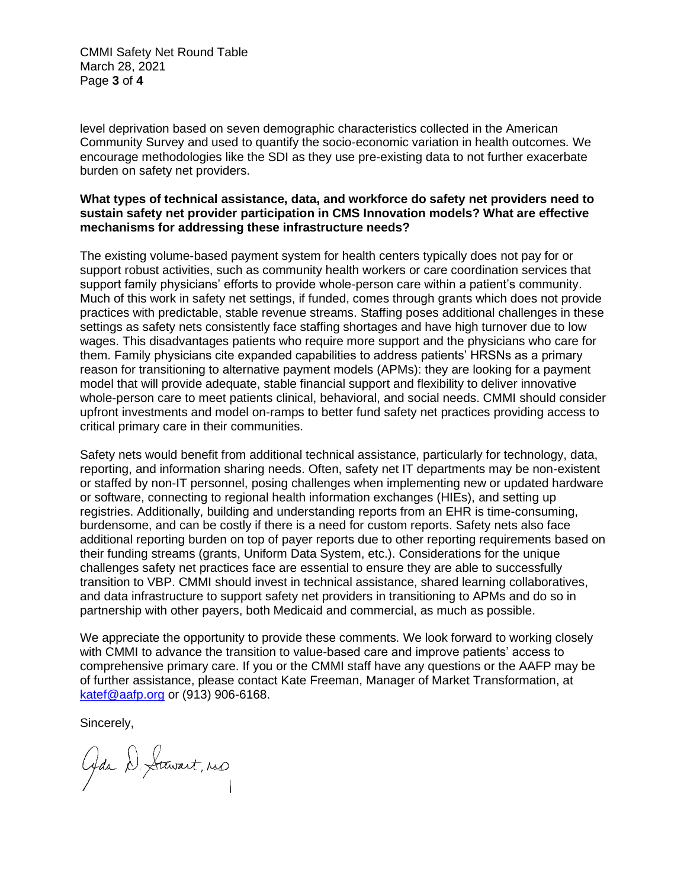CMMI Safety Net Round Table March 28, 2021 Page **3** of **4**

level deprivation based on seven demographic characteristics collected in the American Community Survey and used to quantify the socio-economic variation in health outcomes. We encourage methodologies like the SDI as they use pre-existing data to not further exacerbate burden on safety net providers.

## **What types of technical assistance, data, and workforce do safety net providers need to sustain safety net provider participation in CMS Innovation models? What are effective mechanisms for addressing these infrastructure needs?**

The existing volume-based payment system for health centers typically does not pay for or support robust activities, such as community health workers or care coordination services that support family physicians' efforts to provide whole-person care within a patient's community. Much of this work in safety net settings, if funded, comes through grants which does not provide practices with predictable, stable revenue streams. Staffing poses additional challenges in these settings as safety nets consistently face staffing shortages and have high turnover due to low wages. This disadvantages patients who require more support and the physicians who care for them. Family physicians cite expanded capabilities to address patients' HRSNs as a primary reason for transitioning to alternative payment models (APMs): they are looking for a payment model that will provide adequate, stable financial support and flexibility to deliver innovative whole-person care to meet patients clinical, behavioral, and social needs. CMMI should consider upfront investments and model on-ramps to better fund safety net practices providing access to critical primary care in their communities.

Safety nets would benefit from additional technical assistance, particularly for technology, data, reporting, and information sharing needs. Often, safety net IT departments may be non-existent or staffed by non-IT personnel, posing challenges when implementing new or updated hardware or software, connecting to regional health information exchanges (HIEs), and setting up registries. Additionally, building and understanding reports from an EHR is time-consuming, burdensome, and can be costly if there is a need for custom reports. Safety nets also face additional reporting burden on top of payer reports due to other reporting requirements based on their funding streams (grants, Uniform Data System, etc.). Considerations for the unique challenges safety net practices face are essential to ensure they are able to successfully transition to VBP. CMMI should invest in technical assistance, shared learning collaboratives, and data infrastructure to support safety net providers in transitioning to APMs and do so in partnership with other payers, both Medicaid and commercial, as much as possible.

We appreciate the opportunity to provide these comments. We look forward to working closely with CMMI to advance the transition to value-based care and improve patients' access to comprehensive primary care. If you or the CMMI staff have any questions or the AAFP may be of further assistance, please contact Kate Freeman, Manager of Market Transformation, at [katef@aafp.org](mailto:katef@aafp.org) or (913) 906-6168.

Sincerely,

Gds D. Stewart, res